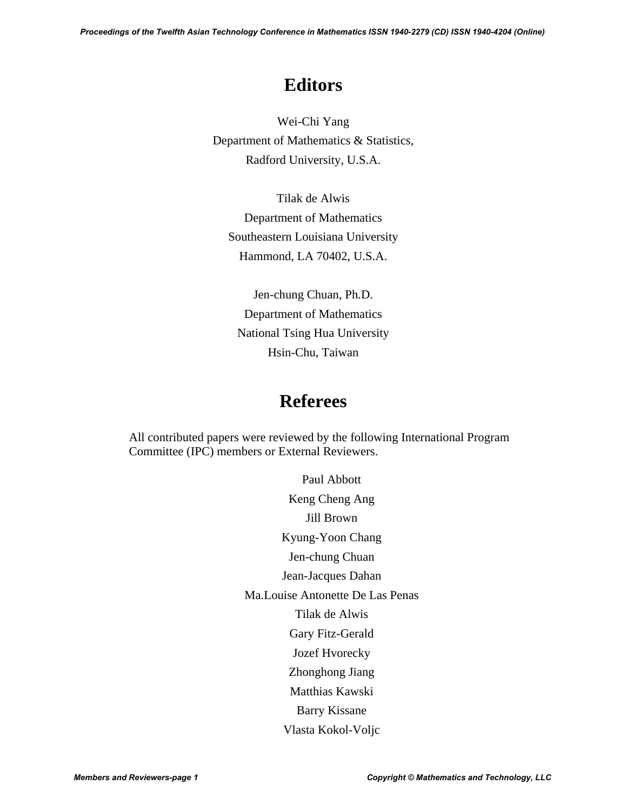*Proceedings of the Twelfth Asian Technology Conference in Mathematics ISSN 1940-2279 (CD) ISSN 1940-4204 (Online)*

# **Editors**

Wei-Chi Yang Department of Mathematics & Statistics, Radford University, U.S.A.

Tilak de Alwis Department of Mathematics Southeastern Louisiana University Hammond, LA 70402, U.S.A.

Jen-chung Chuan, Ph.D. Department of Mathematics National Tsing Hua University Hsin-Chu, Taiwan

## **Referees**

All contributed papers were reviewed by the following International Program Committee (IPC) members or External Reviewers.

Paul Abbott

Keng Cheng Ang Jill Brown Kyung-Yoon Chang Jen-chung Chuan Jean-Jacques Dahan Ma.Louise Antonette De Las Penas Tilak de Alwis Gary Fitz-Gerald Jozef Hvorecky Zhonghong Jiang Matthias Kawski Barry Kissane Vlasta Kokol-Voljc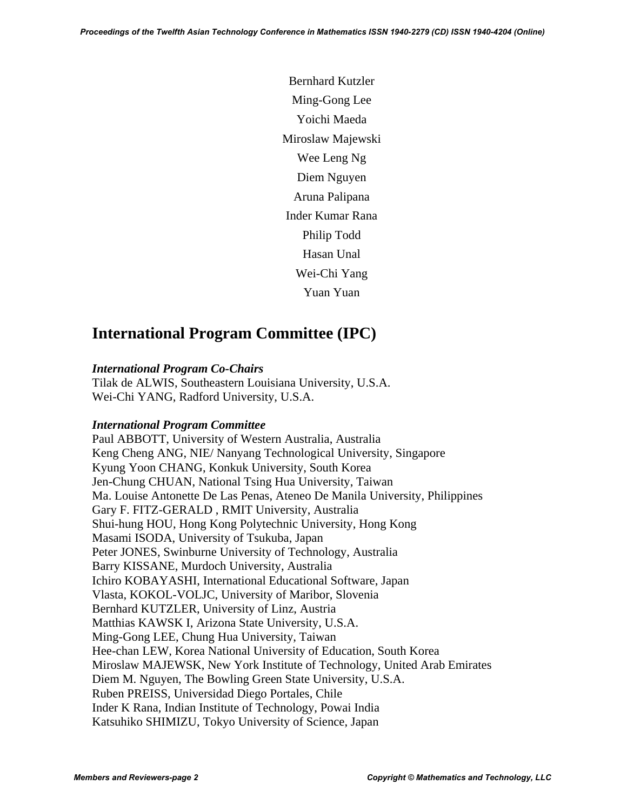Bernhard Kutzler Ming-Gong Lee Yoichi Maeda Miroslaw Majewski Wee Leng Ng Diem Nguyen Aruna Palipana Inder Kumar Rana Philip Todd Hasan Unal Wei-Chi Yang Yuan Yuan

### **International Program Committee (IPC)**

#### *International Program Co-Chairs*

Tilak de ALWIS, Southeastern Louisiana University, U.S.A. Wei-Chi YANG, Radford University, U.S.A.

#### *International Program Committee*

Paul ABBOTT, University of Western Australia, Australia Keng Cheng ANG, NIE/ Nanyang Technological University, Singapore Kyung Yoon CHANG, Konkuk University, South Korea Jen-Chung CHUAN, National Tsing Hua University, Taiwan Ma. Louise Antonette De Las Penas, Ateneo De Manila University, Philippines Gary F. FITZ-GERALD , RMIT University, Australia Shui-hung HOU, Hong Kong Polytechnic University, Hong Kong Masami ISODA, University of Tsukuba, Japan Peter JONES, Swinburne University of Technology, Australia Barry KISSANE, Murdoch University, Australia Ichiro KOBAYASHI, International Educational Software, Japan Vlasta, KOKOL-VOLJC, University of Maribor, Slovenia Bernhard KUTZLER, University of Linz, Austria Matthias KAWSK I, Arizona State University, U.S.A. Ming-Gong LEE, Chung Hua University, Taiwan Hee-chan LEW, Korea National University of Education, South Korea Miroslaw MAJEWSK, New York Institute of Technology, United Arab Emirates Diem M. Nguyen, The Bowling Green State University, U.S.A. Ruben PREISS, Universidad Diego Portales, Chile Inder K Rana, Indian Institute of Technology, Powai India Katsuhiko SHIMIZU, Tokyo University of Science, Japan